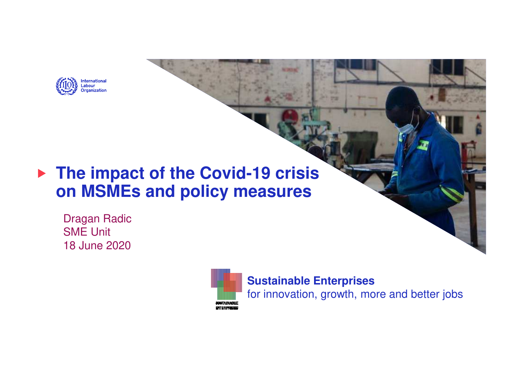

# **The impact of the Covid-19 crisis on MSMEs and policy measures**

Dragan RadicSME Unit18 June 2020



**Sustainable Enterprises**for innovation, growth, more and better jobs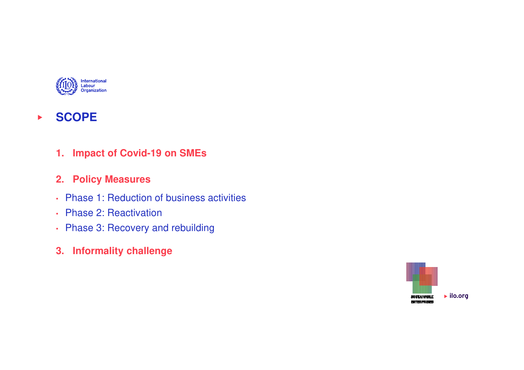

#### **SCOPE** $\blacktriangleright$

**1. Impact of Covid-19 on SMEs**

## **2. Policy Measures**

- Phase 1: Reduction of business activities
- Phase 2: Reactivation
- Phase 3: Recovery and rebuilding
- **3. Informality challenge**

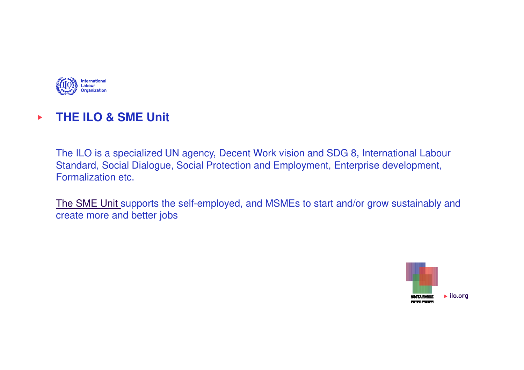

#### **THE ILO & SME Unit** $\blacktriangleright$

The ILO is a specialized UN agency, Decent Work vision and SDG 8, International Labour Standard, Social Dialogue, Social Protection and Employment, Enterprise development, Formalization etc.

The SME Unit supports the self-employed, and MSMEs to start and/or grow sustainably and create more and better jobs

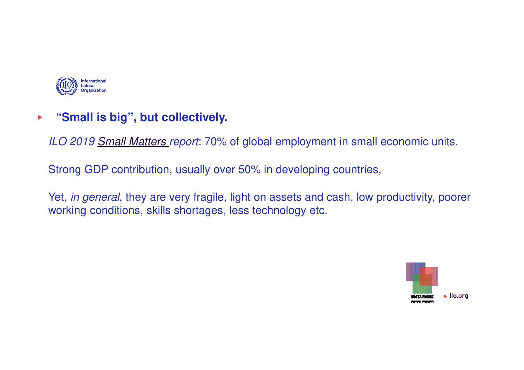

#### **"Small is big", but collectively.** $\blacktriangleright$

ILO 2019 Small Matters report: 70% of global employment in small economic units.

Strong GDP contribution, usually over 50% in developing countries,

Yet, *in general*, they are very fragile, light on assets and cash, low productivity, poorer working conditions, skills shortages, less technology etc.

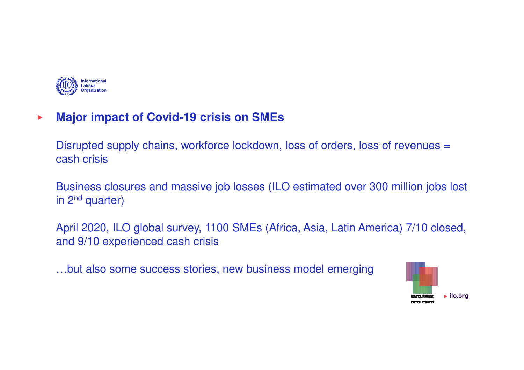

#### **Major impact of Covid-19 crisis on SMEs** $\blacktriangleright$

Disrupted supply chains, workforce lockdown, loss of orders, loss of revenues = cash crisis

Business closures and massive job losses (ILO estimated over 300 million jobs lost in 2<sup>nd</sup> quarter)

April 2020, ILO global survey, 1100 SMEs (Africa, Asia, Latin America) 7/10 closed, and 9/10 experienced cash crisis

…but also some success stories, new business model emerging

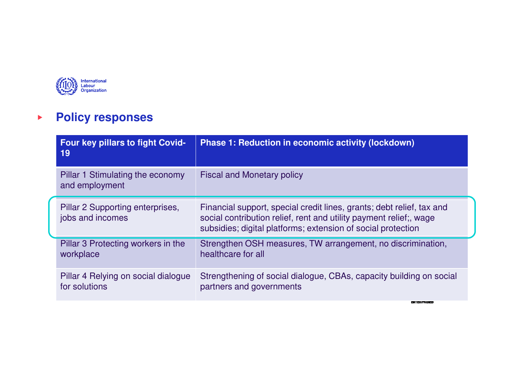

#### **Policy responses** $\begin{array}{c} \hline \end{array}$

| <b>Four key pillars to fight Covid-</b><br>19        | <b>Phase 1: Reduction in economic activity (lockdown)</b>                                                                                                                                                  |
|------------------------------------------------------|------------------------------------------------------------------------------------------------------------------------------------------------------------------------------------------------------------|
| Pillar 1 Stimulating the economy<br>and employment   | <b>Fiscal and Monetary policy</b>                                                                                                                                                                          |
| Pillar 2 Supporting enterprises,<br>jobs and incomes | Financial support, special credit lines, grants; debt relief, tax and<br>social contribution relief, rent and utility payment relief; wage<br>subsidies; digital platforms; extension of social protection |
| Pillar 3 Protecting workers in the<br>workplace      | Strengthen OSH measures, TW arrangement, no discrimination,<br>healthcare for all                                                                                                                          |
| Pillar 4 Relying on social dialogue<br>for solutions | Strengthening of social dialogue, CBAs, capacity building on social<br>partners and governments                                                                                                            |
|                                                      | ENTENPRISES                                                                                                                                                                                                |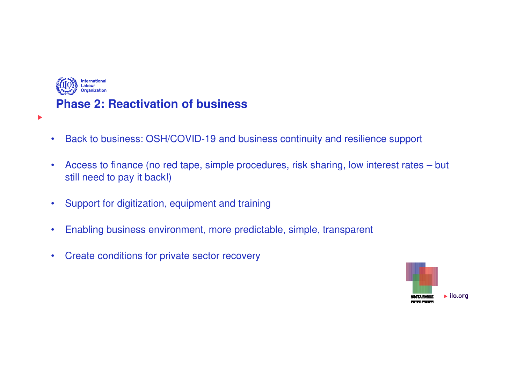

- $\bullet$ Back to business: OSH/COVID-19 and business continuity and resilience support
- • Access to finance (no red tape, simple procedures, risk sharing, low interest rates – but still need to pay it back!)
- •Support for digitization, equipment and training
- •Enabling business environment, more predictable, simple, transparent
- $\bullet$ Create conditions for private sector recovery

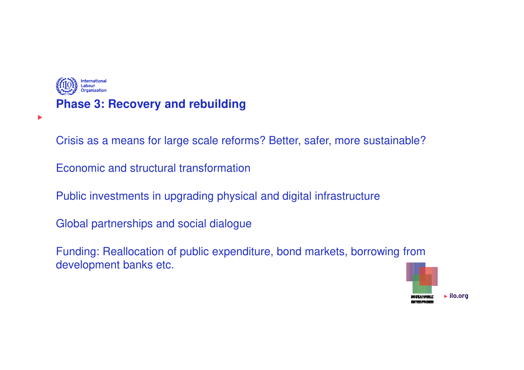

Crisis as a means for large scale reforms? Better, safer, more sustainable?

Economic and structural transformation

Public investments in upgrading physical and digital infrastructure

Global partnerships and social dialogue

Funding: Reallocation of public expenditure, bond markets, borrowing from development banks etc.

 $\blacktriangleright$  ilo.org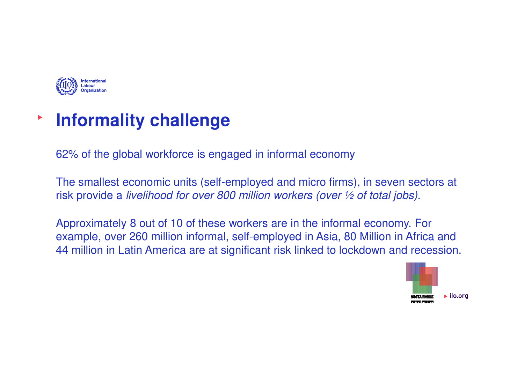

### **Informality challenge** $\blacktriangleright$

62% of the global workforce is engaged in informal economy

The smallest economic units (self-employed and micro firms), in seven sectors at risk provide a livelihood for over 800 million workers (over ½ of total jobs).

Approximately 8 out of 10 of these workers are in the informal economy. For example, over 260 million informal, self-employed in Asia, 80 Million in Africa and 44 million in Latin America are at significant risk linked to lockdown and recession.

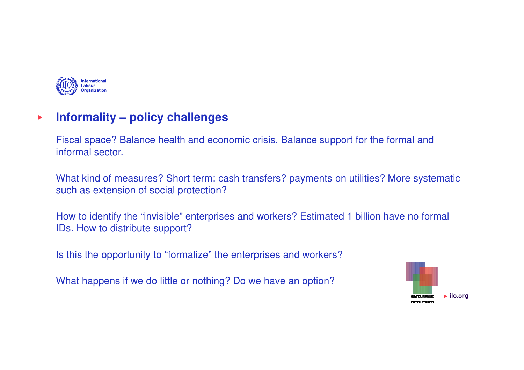

#### **Informality – policy challenges** $\blacktriangleright$

Fiscal space? Balance health and economic crisis. Balance support for the formal and informal sector.

What kind of measures? Short term: cash transfers? payments on utilities? More systematic such as extension of social protection?

How to identify the "invisible" enterprises and workers? Estimated 1 billion have no formal IDs. How to distribute support?

Is this the opportunity to "formalize" the enterprises and workers?

What happens if we do little or nothing? Do we have an option?